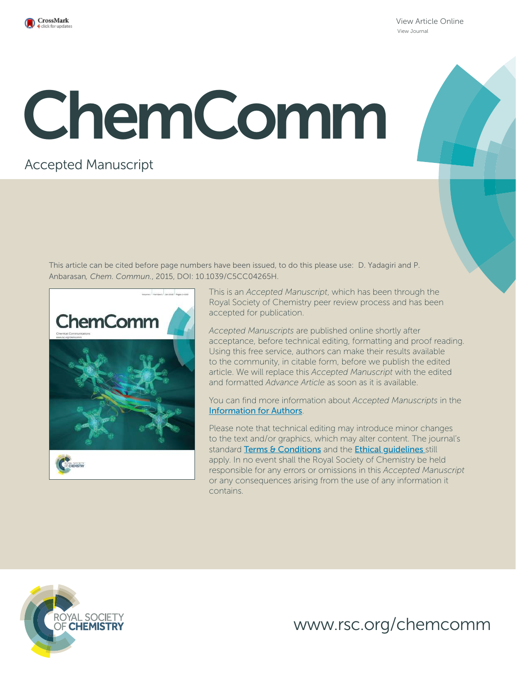

View Article Online View Journal

# ChemComm

### Accepted Manuscript

This article can be cited before page numbers have been issued, to do this please use: D. Yadagiri and P. Anbarasan*, Chem. Commun.*, 2015, DOI: 10.1039/C5CC04265H.



This is an *Accepted Manuscript*, which has been through the Royal Society of Chemistry peer review process and has been accepted for publication.

*Accepted Manuscripts* are published online shortly after acceptance, before technical editing, formatting and proof reading. Using this free service, authors can make their results available to the community, in citable form, before we publish the edited article. We will replace this *Accepted Manuscript* with the edited and formatted *Advance Article* as soon as it is available.

You can find more information about *Accepted Manuscripts* in the Information for Authors.

Please note that technical editing may introduce minor changes to the text and/or graphics, which may alter content. The journal's standard Terms & Conditions and the Ethical quidelines still apply. In no event shall the Royal Society of Chemistry be held responsible for any errors or omissions in this *Accepted Manuscript* or any consequences arising from the use of any information it contains.



www.rsc.org/chemcomm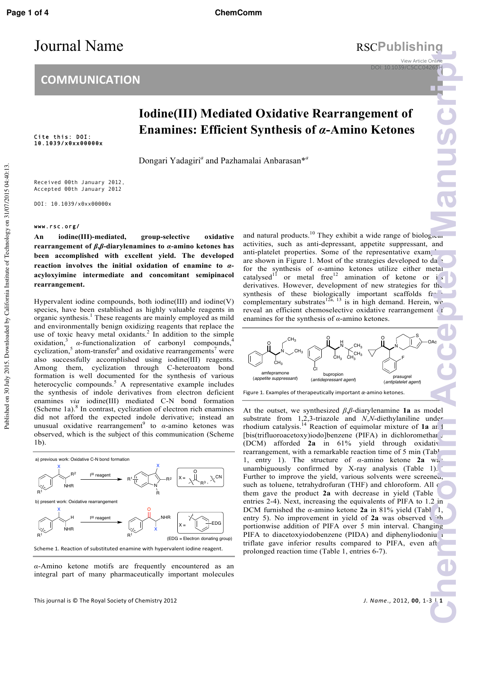## Journal Name RSCPublishing

View Article Online DOI: 10.1039/C5CC04265

## **Iodine(III) Mediated Oxidative Rearrangement of Enamines: Efficient Synthesis of** *α***-Amino Ketones**

Dongari Yadagiri*<sup>a</sup>* and Pazhamalai Anbarasan\**<sup>a</sup>*

Received 00th January 2012, Accepted 00th January 2012

DOI: 10.1039/x0xx00000x

#### www.rsc.org/

Cite this: DOI: 10.1039/x0xx00000x

**An iodine(III)-mediated, group-selective oxidative rearrangement of** *β***,***β***-diarylenamines to** *α***-amino ketones has been accomplished with excellent yield. The developed reaction involves the initial oxidation of enamine to** *α***acyloxyimine intermediate and concomitant semipinacol rearrangement.** 

Hypervalent iodine compounds, both iodine(III) and iodine(V) species, have been established as highly valuable reagents in organic synthesis. 1 These reagents are mainly employed as mild and environmentally benign oxidizing reagents that replace the use of toxic heavy metal oxidants.<sup>2</sup> In addition to the simple oxidation, 3 *α*-functionalization of carbonyl compounds,<sup>4</sup> cyclization,<sup>5</sup> atom-transfer<sup>6</sup> and oxidative rearrangements<sup>7</sup> were also successfully accomplished using iodine(III) reagents. Among them, cyclization through C-heteroatom bond formation is well documented for the synthesis of various heterocyclic compounds. $5$  A representative example includes the synthesis of indole derivatives from electron deficient enamines *via* iodine(III) mediated C-N bond formation (Scheme 1a). 8 In contrast, cyclization of electron rich enamines did not afford the expected indole derivative; instead an unusual oxidative rearrangement<sup>9</sup> to *α*-amino ketones was observed, which is the subject of this communication (Scheme 1b).



*α*-Amino ketone motifs are frequently encountered as an integral part of many pharmaceutically important molecules

This 
 journal 
 is 
 © The 
 Royal 
 Society 
 of 
 Chemistry 
 2012 *J. 
 Name*., 
 2012, 
 **00**, 
 1-‐3 | 
 **1**

and natural products.<sup>10</sup> They exhibit a wide range of biological activities, such as anti-depressant, appetite suppressant, and anti-platelet properties. Some of the representative examples are shown in Figure 1. Most of the strategies developed to da for the synthesis of *α*-amino ketones utilize either metal catalysed<sup>11</sup> or metal free<sup>12</sup> amination of ketone or i<sub>s</sub> derivatives. However, development of new strategies for the synthesis of these biologically important scaffolds  $f\uparrow$ complementary substrates  $^{12a}$ ,  $^{13}$  is in high demand. Herein, we reveal an efficient chemoselective oxidative rearrangement of enamines for the synthesis of *α*-amino ketones.



At the outset, we synthesized *β*,*β*-diarylenamine **1a** as model substrate from 1,2,3-triazole and *N*,*N*-diethylaniline under rhodium catalysis.<sup>14</sup> Reaction of equimolar mixture of **1a** and [bis(trifluoroacetoxy)iodo]benzene (PIFA) in dichloromethane (DCM) afforded 2a in 61% yield through oxidative rearrangement, with a remarkable reaction time of 5 min (Table 1, entry 1). The structure of *α*-amino ketone **2a** was unambiguously confirmed by X-ray analysis  $(Table 1)$ . Further to improve the yield, various solvents were screened, such as toluene, tetrahydrofuran (THF) and chloroform. All  $\epsilon$ them gave the product 2a with decrease in yield (Table entries 2-4). Next, increasing the equivalents of PIFA to 1.2 in DCM furnished the  $\alpha$ -amino ketone **2a** in 81% yield (Table 1, entry 5). No improvement in yield of  $2a$  was observed with portionwise addition of PIFA over 5 min interval. Changing PIFA to diacetoxyiodobenzene (PIDA) and diphenyliodonium triflate gave inferior results compared to PIFA, even aft prolonged reaction time (Table 1, entries 6-7). Philips 265<sup>1</sup><br>
Philips 265<sup>1</sup><br>
Blue and da 3<br>
and da 3<br>
and da 3<br>
and da 3<br>
and da 3<br>
and da 3<br>
and and is the set of the set of the set of the set of the set of the set of the set of the set of the set of the set of the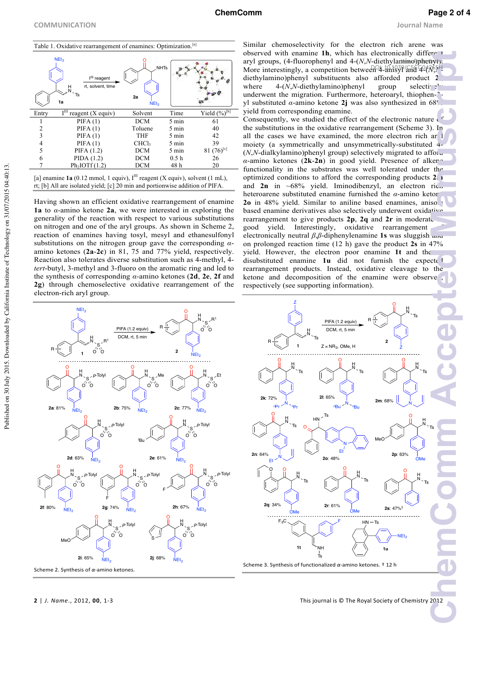![](_page_2_Figure_4.jpeg)

[a] enamine  $1a$  (0.12 mmol, 1 equiv),  $I<sup>III</sup>$  reagent (X equiv), solvent (1 mL), rt; [b] All are isolated yield; [c] 20 min and portionwise addition of PIFA.

Having shown an efficient oxidative rearrangement of enamine **1a** to *α*-amino ketone **2a**, we were interested in exploring the generality of the reaction with respect to various substitutions on nitrogen and one of the aryl groups. As shown in Scheme 2, reaction of enamines having tosyl, mesyl and ethanesulfonyl substitutions on the nitrogen group gave the corresponding *α*amino ketones (**2a**-**2c**) in 81, 75 and 77% yield, respectively. Reaction also tolerates diverse substitution such as 4-methyl, 4 *tert*-butyl, 3-methyl and 3-fluoro on the aromatic ring and led to the synthesis of corresponding *α*-amino ketones (**2d**, **2e**, **2f** and **2g**) through chemoselective oxidative rearrangement of the electron-rich aryl group.

![](_page_2_Figure_7.jpeg)

Similar chemoselectivity for the electron rich arene was observed with enamine 1h, which has electronically different aryl groups, (4-fluorophenyl and 4-(*N*,*N*-diethylamino)phenyhe. More interestingly, a competition between<sup>Q4</sup>-anisyl and 4<sup>2</sup>(*N<sub>2</sub>*)<sup>1</sup> diethylamino)phenyl substituents also afforded product **2i**, where  $4-(N,N$ -diethylamino)phenyl group selective<sup>1</sup> underwent the migration. Furthermore, heteroaryl, thiophen-3 yl substituted *α*-amino ketone **2j** was also synthesized in 68% yield from corresponding enamine. Consequently, we studied the effect of the electronic nature  $\sqrt{6}$ the substitutions in the oxidative rearrangement (Scheme 3). In all the cases we have examined, the more electron rich ar I moiety (a symmetrically and unsymmetrically-substituted 4-  $(N, N$ -dialkylamino)phenyl group) selectively migrated to afford *α*-amino ketones (2k-2n) in good yield. Presence of alkered functionality in the substrates was well tolerated under the optimized conditions to afford the corresponding products **2m** and  $2n$  in  $~68\%$  yield. Iminodibenzyl, an electron ric... heteroarene substituted enamine furnished the  $\alpha$ -amino ketor 2o in 48% yield. Similar to aniline based enamines, anisole based enamine derivatives also selectively underwent oxidative rearrangement to give products 2p, 2q and 2r in moderate good yield. Interestingly, oxidative rearrangement electronically neutral *β*,*β*-diphenylenamine **1s** was sluggish and on prolonged reaction time (12 h) gave the product **2s** in 47% yield. However, the electron poor enamine **1t** and the *α*disubstituted enamine 1u did not furnish the expected rearrangement products. Instead, oxidative cleavage to the ketone and decomposition of the enamine were observe, respectively (see supporting information). **Chemcommanuscripture**<br> **ChemCommanuscripture**<br> **Chemcommanuscripture**<br> **Chemcommanuscripture**<br> **Chemcommanuscripture**<br> **Chemcommanuscripture**<br> **Chemcommanuscripture**<br> **Chemcommanuscripture**<br> **Chemcommanuscripture** 

![](_page_2_Figure_9.jpeg)

**2** | *J. Name*., 2012, **00**, 1-3 **Interpretate and Contact Section Chemistry** 2012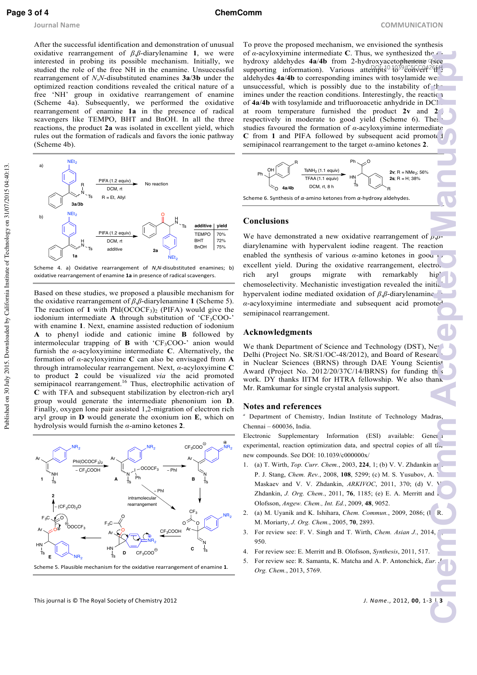**Page 3 of 4 ChemComm**

After the successful identification and demonstration of unusual oxidative rearrangement of *β*,*β*-diarylenamine **1**, we were interested in probing its possible mechanism. Initially, we studied the role of the free NH in the enamine. Unsuccessful rearrangement of *N*,*N*-disubstituted enamines **3a**/**3b** under the optimized reaction conditions revealed the critical nature of a free 'NH' group in oxidative rearrangement of enamine (Scheme 4a). Subsequently, we performed the oxidative rearrangement of enamine **1a** in the presence of radical scavengers like TEMPO, BHT and BnOH. In all the three reactions, the product **2a** was isolated in excellent yield, which rules out the formation of radicals and favors the ionic pathway (Scheme 4b).

![](_page_3_Figure_5.jpeg)

Scheme 4. a) Oxidative rearrangement of *N*,*N*-disubstituted enamines; b) oxidative rearrangement of enamine **1a** in presence of radical scavengers.

Based on these studies, we proposed a plausible mechanism for the oxidative rearrangement of *β*,*β*-diarylenamine **1** (Scheme 5). The reaction of 1 with  $PhI(OCOCF_3)_2$  (PIFA) would give the iodonium intermediate  $\bf{A}$  through substitution of 'CF<sub>3</sub>COO-' with enamine **1**. Next, enamine assisted reduction of iodonium **A** to phenyl iodide and cationic imine **B** followed by intermolecular trapping of **B** with 'CF3COO-' anion would furnish the *α*-acyloxyimine intermediate **C**. Alternatively, the formation of *α*-acyloxyimine **C** can also be envisaged from **A** through intramolecular rearrangement. Next, *α*-acyloxyimine **C** to product **2** could be visualized *via* the acid promoted semipinacol rearrangement.<sup>16</sup> Thus, electrophilic activation of **C** with TFA and subsequent stabilization by electron-rich aryl group would generate the intermediate phenonium ion **D**. Finally, oxygen lone pair assisted 1,2-migration of electron rich aryl group in **D** would generate the oxonium ion **E**, which on hydrolysis would furnish the *α*-amino ketones **2**.

![](_page_3_Figure_8.jpeg)

Scheme 5. Plausible mechanism for the oxidative rearrangement of enamine 1.

To prove the proposed mechanism, we envisioned the synthesis of *α*-acyloxyimine intermediate **C**. Thus, we synthesized the *α*hydroxy aldehydes **4a/4b** from 2-hydroxyacetophenone (see supporting information). Various attempts<sup>0.1039</sup>/C5fGeft<sup>26</sup>ft<sup>H</sup> aldehydes **4a/4b** to corresponding imines with tosylamide we unsuccessful, which is possibly due to the instability of the imines under the reaction conditions. Interestingly, the reaction of  $4a/4b$  with tosylamide and trifluoroacetic anhydride in DCI. at room temperature furnished the product **2v** and **2s**, respectively in moderate to good yield (Scheme 6). These studies favoured the formation of *α*-acyloxyimine intermediate **C** from 1 and PIFA followed by subsequent acid promoted semipinacol rearrangement to the target *α*-amino ketones **2**. **Chemcommunity**<br> **ChemCommunity**<br> **Chemcommunity**<br> **Chemcommunity**<br> **Chemcommunity**<br> **Chemcommunity**<br> **Chematic decleration**<br> **Chematic decleration**<br> **Chematic decleration**<br> **Chematic decleration**<br> **Chematic decleration**<br>

![](_page_3_Figure_11.jpeg)

Scheme 6. Synthesis of α-amino ketones from α-hydroxy aldehydes.

#### **Conclusions**

We have demonstrated a new oxidative rearrangement of *β*,*β*diarylenamine with hypervalent iodine reagent. The reaction enabled the synthesis of various  $\alpha$ -amino ketones in good to excellent yield. During the oxidative rearrangement, electro. rich aryl groups migrate with remarkably high chemoselectivity. Mechanistic investigation revealed the initial hypervalent iodine mediated oxidation of  $β, β$ -diarylenamine  $\alpha$ -acyloxyimine intermediate and subsequent acid promote<sup> $\alpha$ </sup> semipinacol rearrangement.

#### **Acknowledgments**

We thank Department of Science and Technology (DST), New Delhi (Project No. SR/S1/OC-48/2012), and Board of Research in Nuclear Sciences (BRNS) through DAE Young Scientist Award (Project No.  $2012/20/37C/14/BRNS$ ) for funding the work. DY thanks IITM for HTRA fellowship. We also thank Mr. Ramkumar for single crystal analysis support.

#### **Notes and references**

Department of Chemistry, Indian Institute of Technology Madras, Chennai – 600036, India.

Electronic Supplementary Information (ESI) available: General experimental, reaction optimization data, and spectral copies of all the new compounds. See DOI: 10.1039/c000000x/

- 1. (a) T. Wirth, *Top. Curr. Chem.*, 2003, 224, 1; (b) V. V. Zhdankin and P. J. Stang, *Chem. Rev.*, 2008, **108**, 5299; (c) M. S. Yusubov, A. V. Maskaev and V. V. Zhdankin, *ARKIVOC*, 2011, 370; (d) V. V. Zhdankin, *J. Org. Chem.*, 2011, 76, 1185; (e) E. A. Merritt and B. Olofsson, *Angew. Chem., Int. Ed.*, 2009, **48**, 9052.
- 2. (a) M. Uyanik and K. Ishihara, *Chem. Commun.*, 2009, 2086; (1 R. M. Moriarty, *J. Org. Chem.*, 2005, **70**, 2893.
- 3. For review see: F. V. Singh and T. Wirth, *Chem. Asian J.*, 2014, **9**, 950.
- 4. For review see: E. Merritt and B. Olofsson, *Synthesis*, 2011, 517.
- 5. For review see: R. Samanta, K. Matcha and A. P. Antonchick, *Eur. J. Org. Chem.*, 2013, 5769.